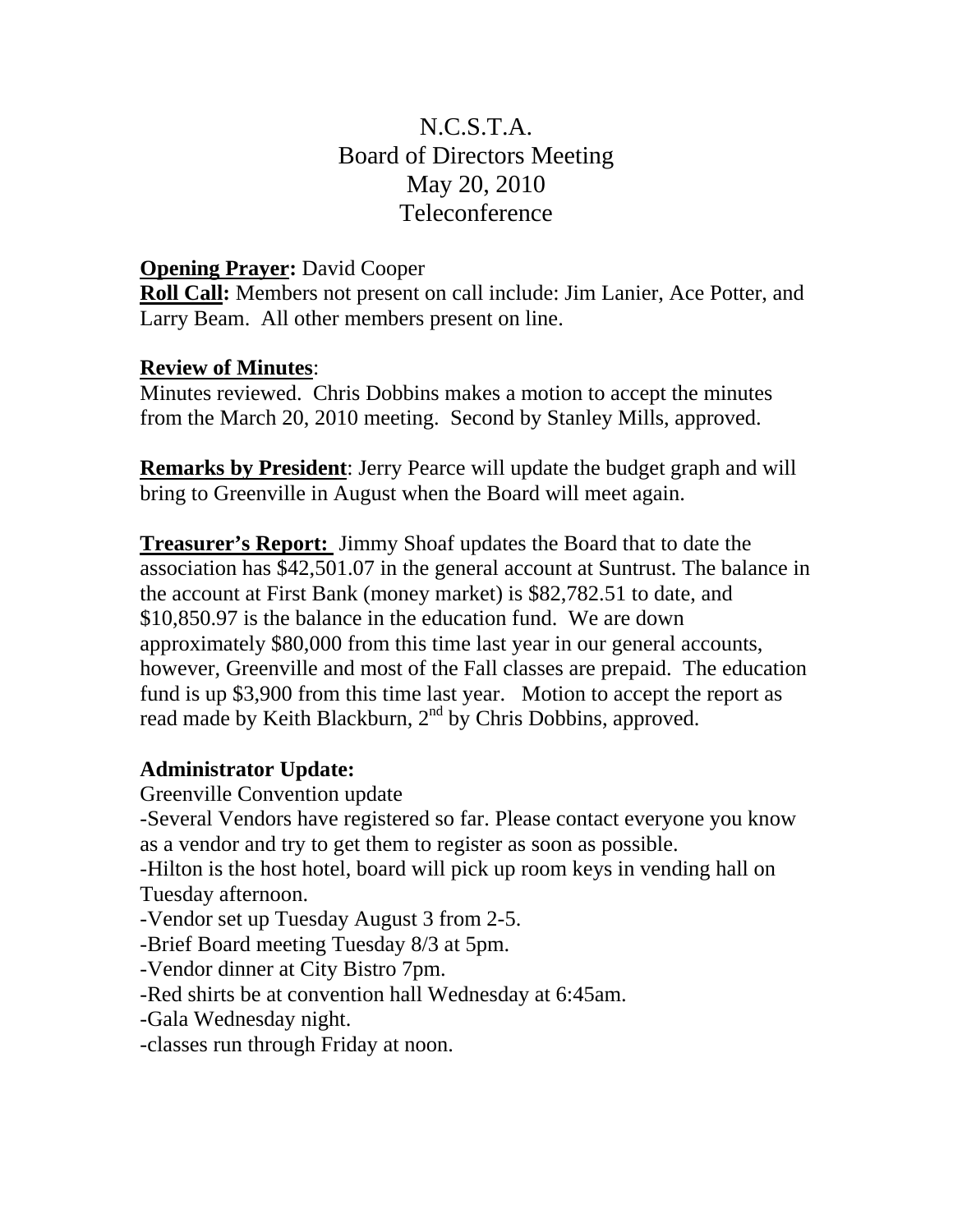# N.C.S.T.A. Board of Directors Meeting May 20, 2010 Teleconference

### **Opening Prayer:** David Cooper

**Roll Call:** Members not present on call include: Jim Lanier, Ace Potter, and Larry Beam. All other members present on line.

### **Review of Minutes**:

Minutes reviewed. Chris Dobbins makes a motion to accept the minutes from the March 20, 2010 meeting. Second by Stanley Mills, approved.

**Remarks by President**: Jerry Pearce will update the budget graph and will bring to Greenville in August when the Board will meet again.

**Treasurer's Report:** Jimmy Shoaf updates the Board that to date the association has \$42,501.07 in the general account at Suntrust. The balance in the account at First Bank (money market) is \$82,782.51 to date, and \$10,850.97 is the balance in the education fund. We are down approximately \$80,000 from this time last year in our general accounts, however, Greenville and most of the Fall classes are prepaid. The education fund is up \$3,900 from this time last year. Motion to accept the report as read made by Keith Blackburn, 2<sup>nd</sup> by Chris Dobbins, approved.

# **Administrator Update:**

Greenville Convention update -Several Vendors have registered so far. Please contact everyone you know as a vendor and try to get them to register as soon as possible. -Hilton is the host hotel, board will pick up room keys in vending hall on Tuesday afternoon. -Vendor set up Tuesday August 3 from 2-5. -Brief Board meeting Tuesday 8/3 at 5pm. -Vendor dinner at City Bistro 7pm. -Red shirts be at convention hall Wednesday at 6:45am. -Gala Wednesday night. -classes run through Friday at noon.